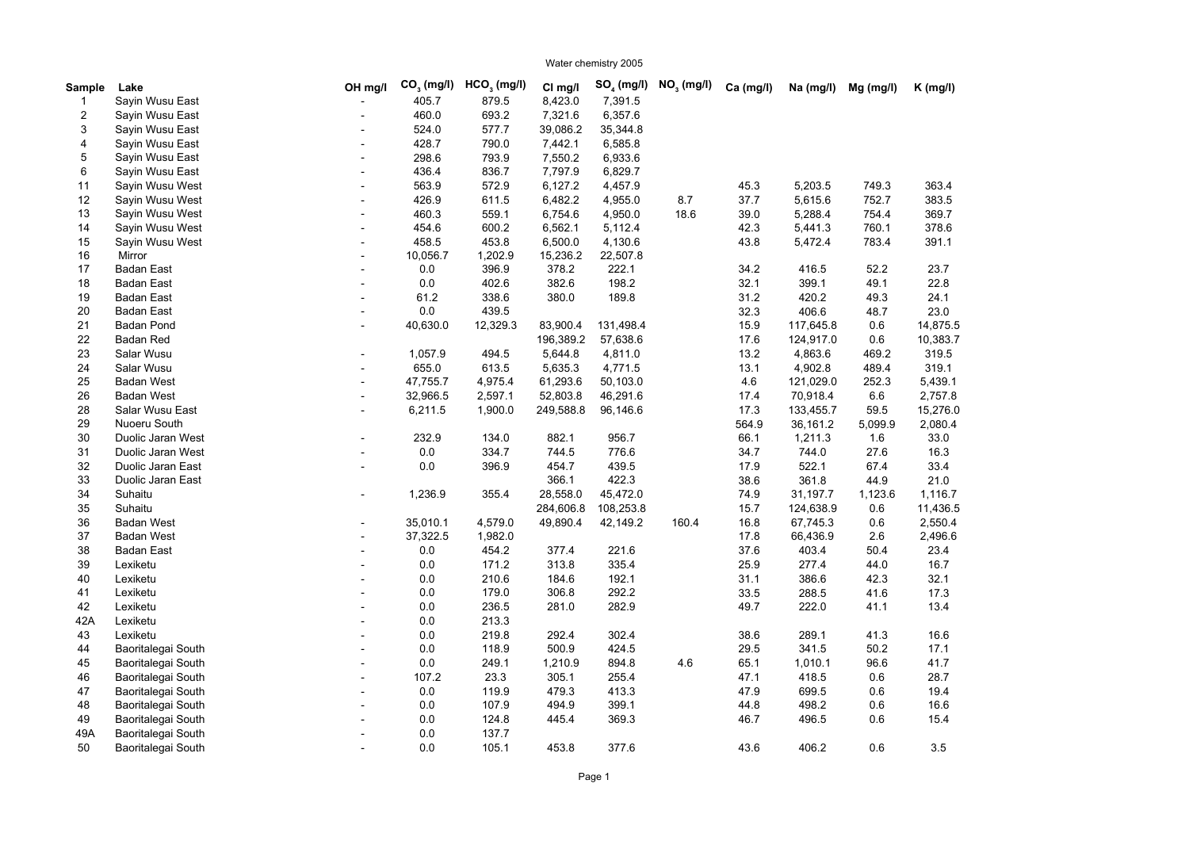Water chemistry 2005

Sample Lake **Sumple Lake** Canadase CH mg/l CO<sub>3</sub> (mg/l) HCO<sub>3</sub> (mg/l) C<sub>I mg/l</sub> SO<sub>4</sub> (mg/l) NO<sub>3</sub> (mg/l) Ca (mg/l) Na (mg/l) Mg (mg/l) K (mg/l) 1 - 405.7 879.5 8,423.0 7,391.5 Sayin Wusu East 2 - 460.0 693.2 7,321.6 6,357.6 Sayin Wusu East 3 - 524.0 577.7 39,086.2 35,344.8 Sayin Wusu East 4 - 428.7 790.0 7,442.1 6,585.8 Sayin Wusu East 5 - 298.6 793.9 7,550.2 6,933.6 Sayin Wusu East 6 - 436.4 836.7 7,797.9 6,829.7 Sayin Wusu East 11 - 563.9 572.9 6,127.2 4,457.9 45.3 5,203.5 749.3 363.4 12 - 426.9 611.5 6,482.2 4,955.0 8.7 37.7 5,615.6 752.7 383.5 13 - 460.3 559.1 6,754.6 4,950.0 18.6 39.0 5,288.4 754.4 369.7 14 - 454.6 600.2 6,562.1 5,112.4 42.3 5,441.3 760.1 378.6 15 - 458.5 453.8 6,500.0 4,130.6 43.8 5,472.4 783.4 391.1 16 Mirror - 10,056.7 1,202.9 15,236.2 22,507.8 17 - 0.0 396.9 378.2 222.1 34.2 416.5 52.2 23.7 18 - 0.0 402.6 382.6 198.2 32.1 399.1 49.1 22.8 19 - 61.2 338.6 380.0 189.8 31.2 420.2 49.3 24.1 20 - 0.0 439.5 32.3 406.6 48.7 23.0 21 Badan Pond - 40,630.0 12,329.3 83,900.4 131,498.4 15.9 117,645.8 0.6 14,875.5 22 196,389.2 57,638.6 17.6 124,917.0 0.6 10,383.7 23 Salar Wusu - 1,057.9 494.5 5,644.8 4,811.0 13.2 4,863.6 469.2 319.5 24 Salar Wusu - 655.0 613.5 5,635.3 4,771.5 13.1 4,902.8 489.4 319.1 25 - 47,755.7 4,975.4 61,293.6 50,103.0 4.6 121,029.0 252.3 5,439.1 26 - 32,966.5 2,597.1 52,803.8 46,291.6 17.4 70,918.4 6.6 2,757.8 28 - 6,211.5 1,900.0 249,588.8 96,146.6 17.3 133,455.7 59.5 15,276.0 29 564.9 36,161.2 5,099.9 2,080.4 30 - 232.9 134.0 882.1 956.7 66.1 1,211.3 1.6 33.0 31 - 0.0 334.7 744.5 776.6 34.7 744.0 27.6 16.3 32 - 0.0 396.9 454.7 439.5 17.9 522.1 67.4 33.4 33 366.1 422.3 38.6 361.8 44.9 21.0 34 - 1,236.9 355.4 28,558.0 45,472.0 74.9 31,197.7 1,123.6 1,116.7 35 284,606.8 108,253.8 15.7 124,638.9 0.6 11,436.5 36 - 35,010.1 4,579.0 49,890.4 42,149.2 160.4 16.8 67,745.3 0.6 2,550.4 37 - 37,322.5 1,982.0 17.8 66,436.9 2.6 2,496.6 38 - 0.0 454.2 377.4 221.6 37.6 403.4 50.4 23.4 39 - 0.0 171.2 313.8 335.4 25.9 277.4 44.0 16.7 40 Lexiketu - 0.0 210.6 184.6 192.1 31.1 386.6 42.3 32.1 41 Lexiketu - 0.0 179.0 306.8 292.2 33.5 288.5 41.6 17.3 42 Lexiketu - 0.0 236.5 281.0 282.9 49.7 222.0 41.1 13.4 42A - 0.0 213.3 43 Lexiketu - 0.0 219.8 292.4 302.4 38.6 289.1 41.3 16.6 44 Baoritalegai South - 0.0 118.9 500.9 424.5 29.5 341.5 50.2 17.1 45 Baoritalegai South - 0.0 249.1 1,210.9 894.8 4.6 65.1 1,010.1 96.6 41.7 46 Baoritalegai South - 107.2 23.3 305.1 255.4 47.1 418.5 0.6 28.7 47 Baoritalegai South - 0.0 119.9 479.3 413.3 47.9 699.5 0.6 19.4 48 Baoritalegai South - 0.0 107.9 494.9 399.1 44.8 498.2 0.6 16.6 49 Baoritalegai South - 0.0 124.8 445.4 369.3 46.7 496.5 0.6 15.4 49A - Baoritalegai South and the control of the control of the control of the control of the control of the control of the control of the control of the control of the control of the control of the control of the control o 50 Baoritalegai South - 0.0 105.1 453.8 377.6 43.6 406.2 0.6 3.5 **CO<sup>3</sup> (mg/l) HCO<sup>3</sup>**  $C$ *l* ma/l **SO<sub>4</sub>** (mg/l)  **(mg/l)** Sayin Wusu West Sayin Wusu West Sayin Wusu West Sayin Wusu West Sayin Wusu West Badan East Badan East Badan East Badan East Badan Pond Badan Red Salar Wusu Salar Wusu Badan West Badan West Salar Wusu East Nuoeru South Duolic Jaran West Duolic Jaran West Duolic Jaran East Duolic Jaran East **Suhaitu Suhaitu** Badan West Badan West Badan East Lexiketu Lexiketu Lexiketu Lexiketu Lexiketu Lexiketu Baoritalegai South Baoritalegai South Baoritalegai South Baoritalegai South Baoritalegai South Baoritalegai South Baoritalegai South